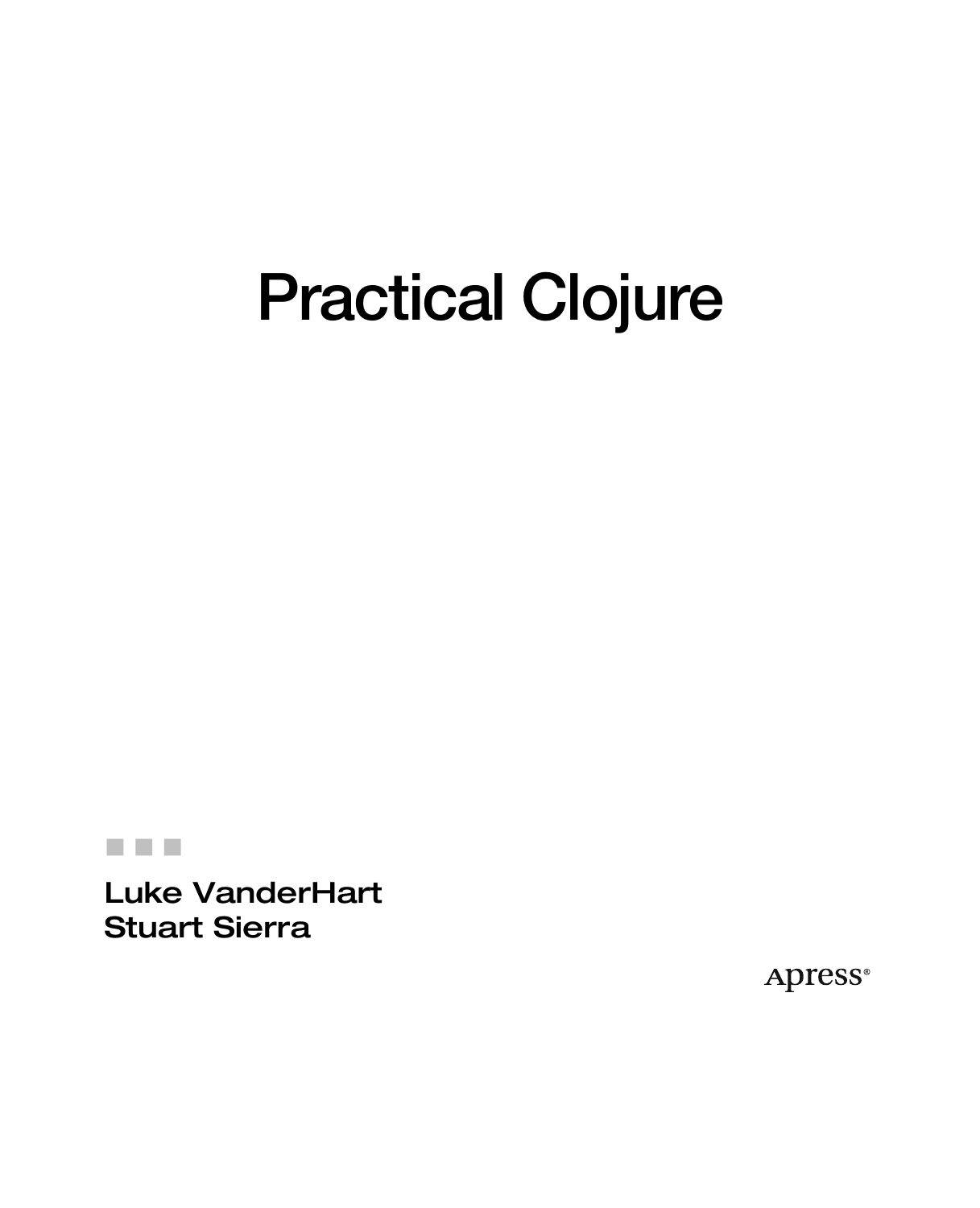# **Practical Clojure**

#### -- -

Luke VanderHart Stuart Sierra

**Apress**®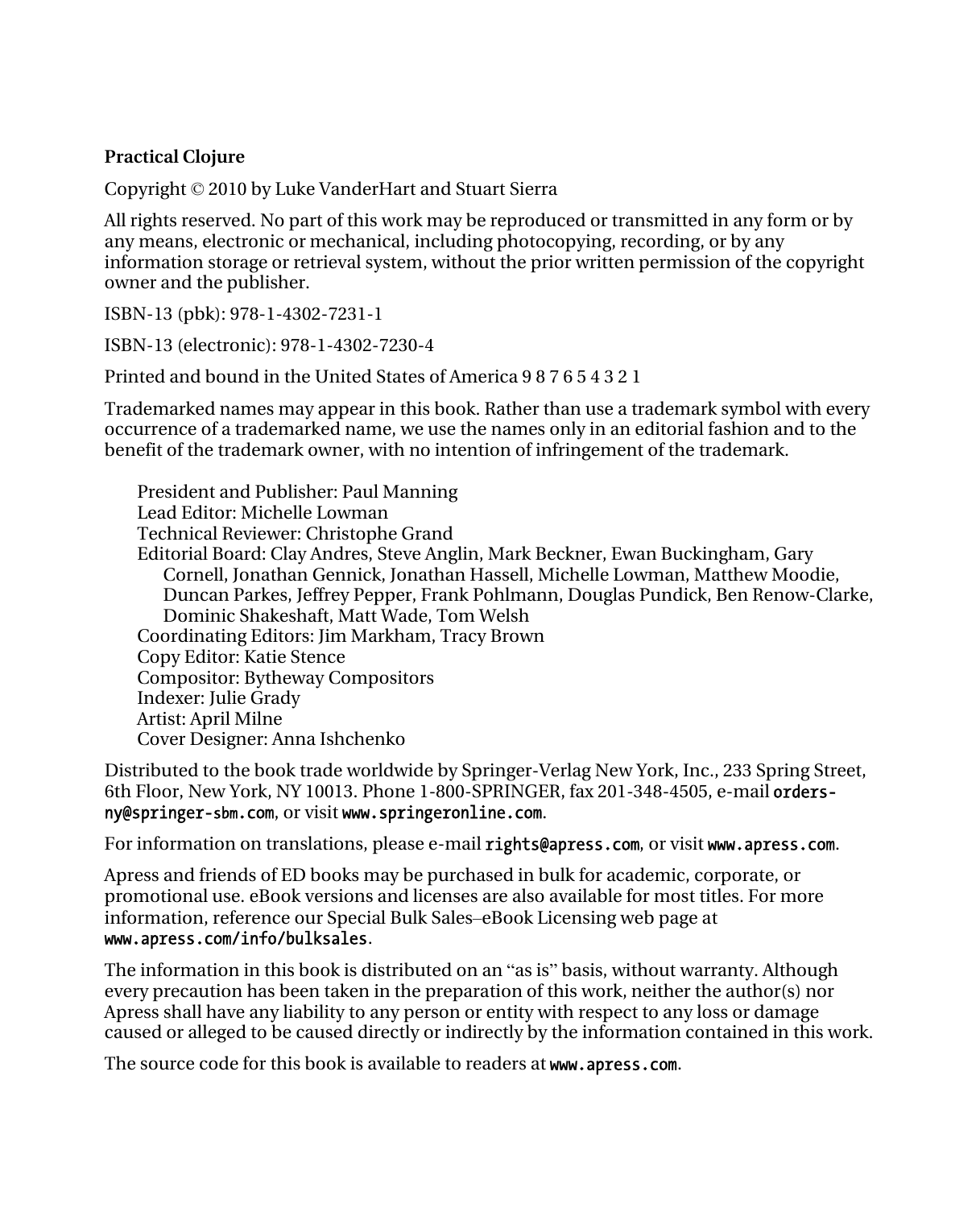#### **Practical Clojure**

Copyright © 2010 by Luke VanderHart and Stuart Sierra

All rights reserved. No part of this work may be reproduced or transmitted in any form or by any means, electronic or mechanical, including photocopying, recording, or by any information storage or retrieval system, without the prior written permission of the copyright owner and the publisher.

ISBN-13 (pbk): 978-1-4302-7231-1

ISBN-13 (electronic): 978-1-4302-7230-4

Printed and bound in the United States of America 9 8 7 6 5 4 3 2 1

Trademarked names may appear in this book. Rather than use a trademark symbol with every occurrence of a trademarked name, we use the names only in an editorial fashion and to the benefit of the trademark owner, with no intention of infringement of the trademark.

President and Publisher: Paul Manning Lead Editor: Michelle Lowman Technical Reviewer: Christophe Grand Editorial Board: Clay Andres, Steve Anglin, Mark Beckner, Ewan Buckingham, Gary Cornell, Jonathan Gennick, Jonathan Hassell, Michelle Lowman, Matthew Moodie, Duncan Parkes, Jeffrey Pepper, Frank Pohlmann, Douglas Pundick, Ben Renow-Clarke, Dominic Shakeshaft, Matt Wade, Tom Welsh Coordinating Editors: Jim Markham, Tracy Brown Copy Editor: Katie Stence Compositor: Bytheway Compositors Indexer: Julie Grady Artist: April Milne Cover Designer: Anna Ishchenko

Distributed to the book trade worldwide by Springer-Verlag New York, Inc., 233 Spring Street, 6th Floor, New York, NY 10013. Phone 1-800-SPRINGER, fax 201-348-4505, e-mail ordersny@springer-sbm.com, or visit www.springeronline.com.

For information on translations, please e-mail rights@apress.com, or visit www.apress.com.

Apress and friends of ED books may be purchased in bulk for academic, corporate, or promotional use. eBook versions and licenses are also available for most titles. For more information, reference our Special Bulk Sales–eBook Licensing web page at www.apress.com/info/bulksales.

The information in this book is distributed on an "as is" basis, without warranty. Although every precaution has been taken in the preparation of this work, neither the author(s) nor Apress shall have any liability to any person or entity with respect to any loss or damage caused or alleged to be caused directly or indirectly by the information contained in this work.

The source code for this book is available to readers at **www.apress.com**.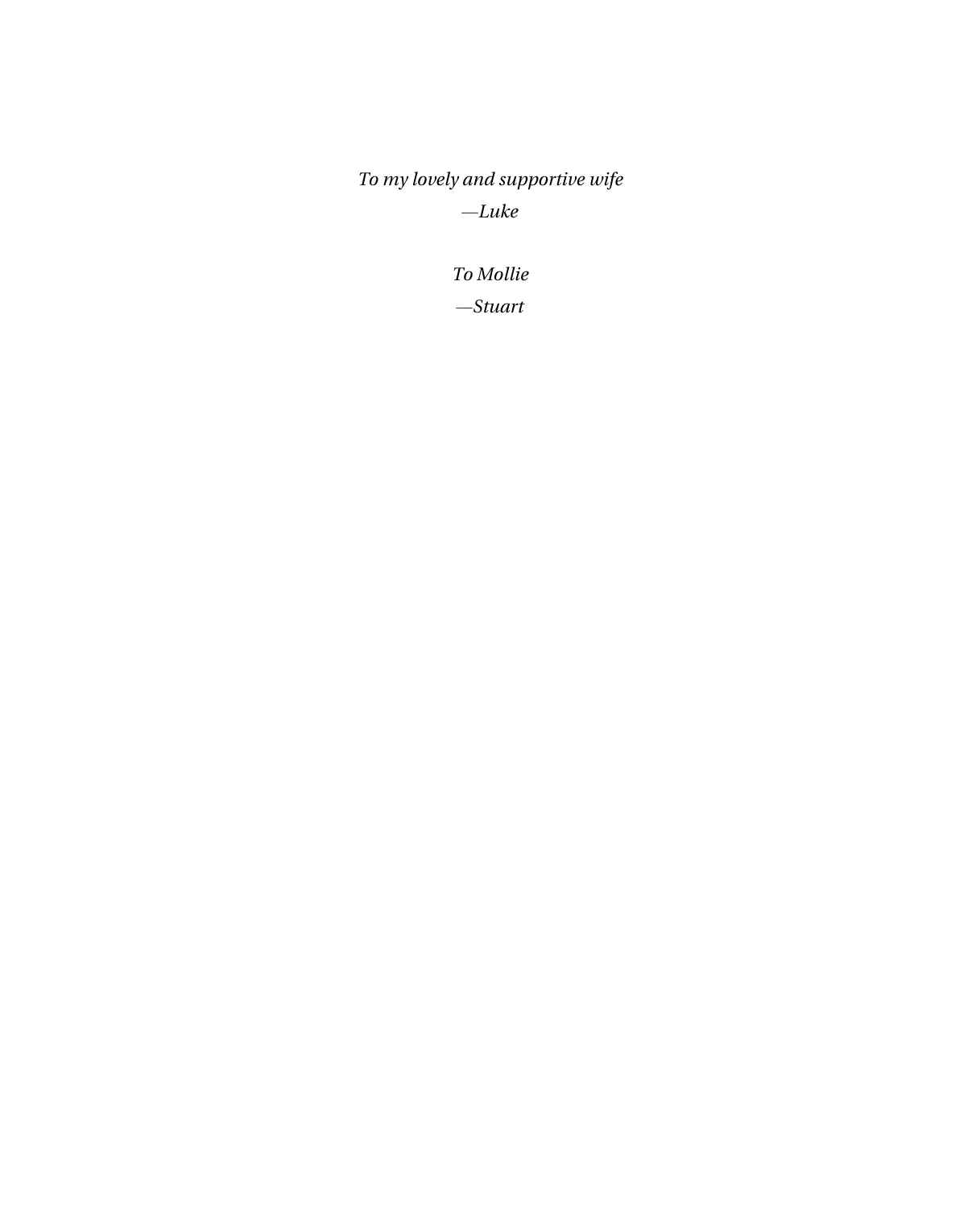*To my lovely and supportive wife —Luke* 

> *To Mollie —Stuart*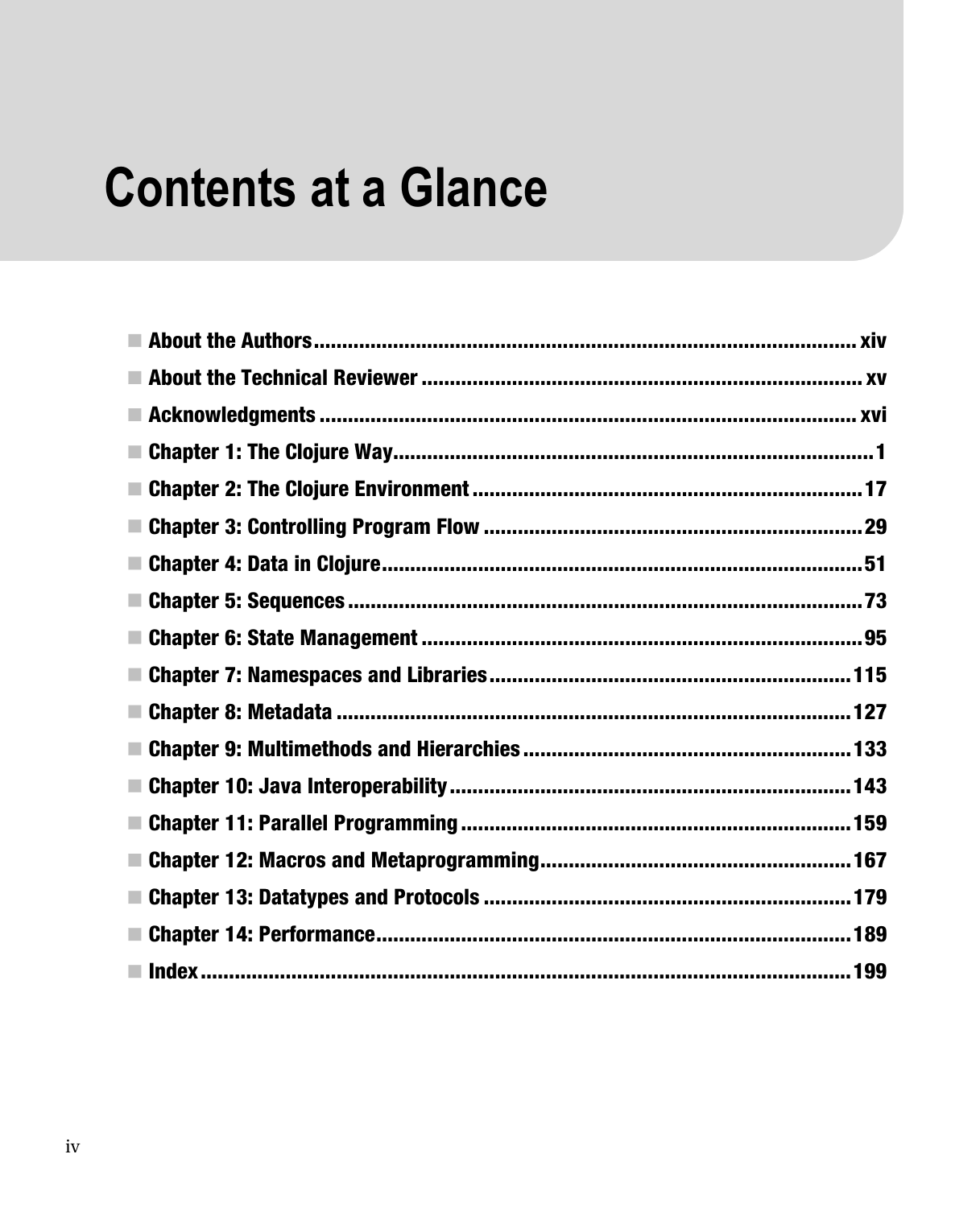## **Contents at a Glance**

| $\mathcal{C}$ |  |
|---------------|--|
|               |  |
|               |  |
|               |  |
|               |  |
|               |  |
|               |  |
|               |  |
|               |  |
|               |  |
|               |  |
|               |  |
|               |  |
|               |  |
|               |  |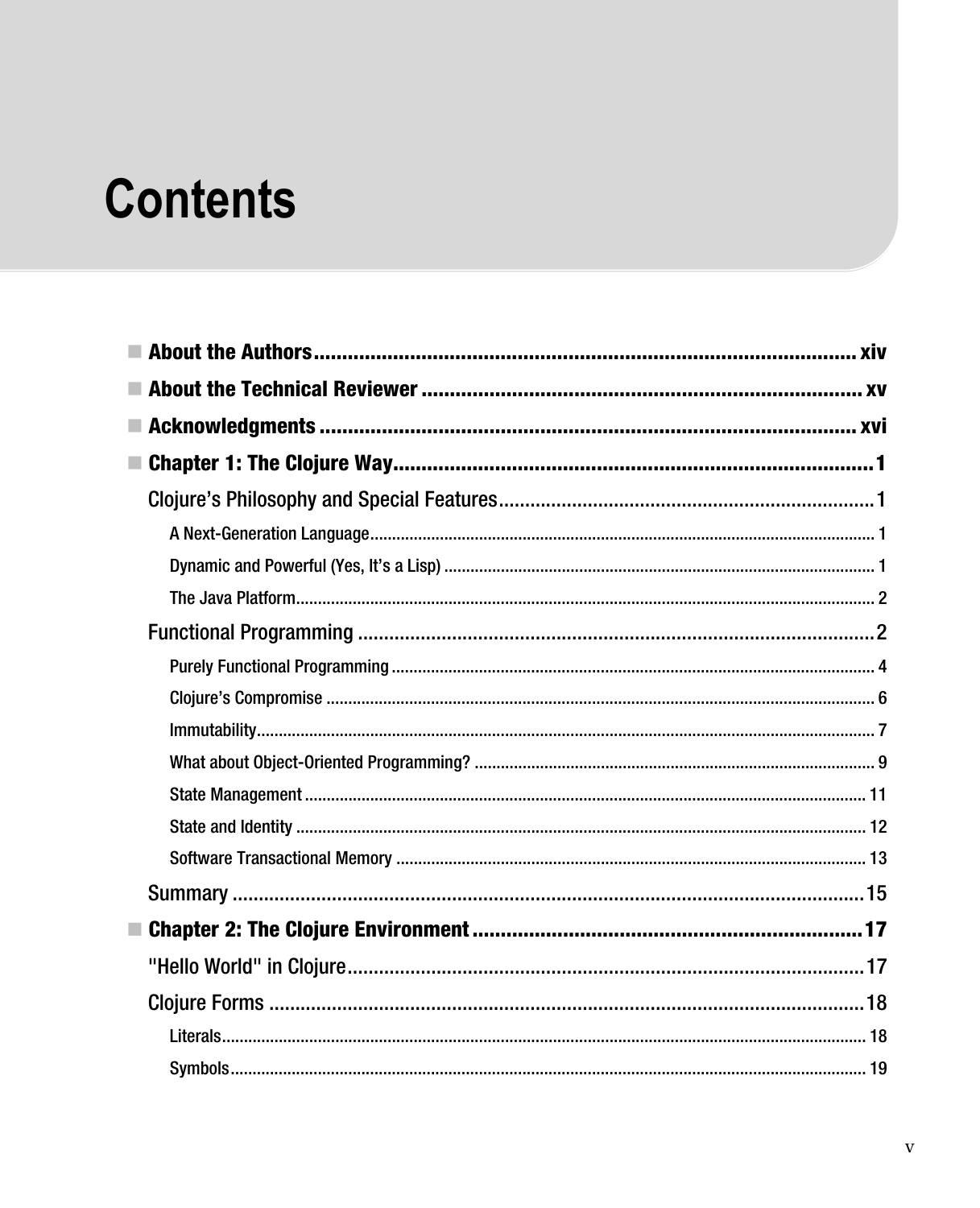## **Contents**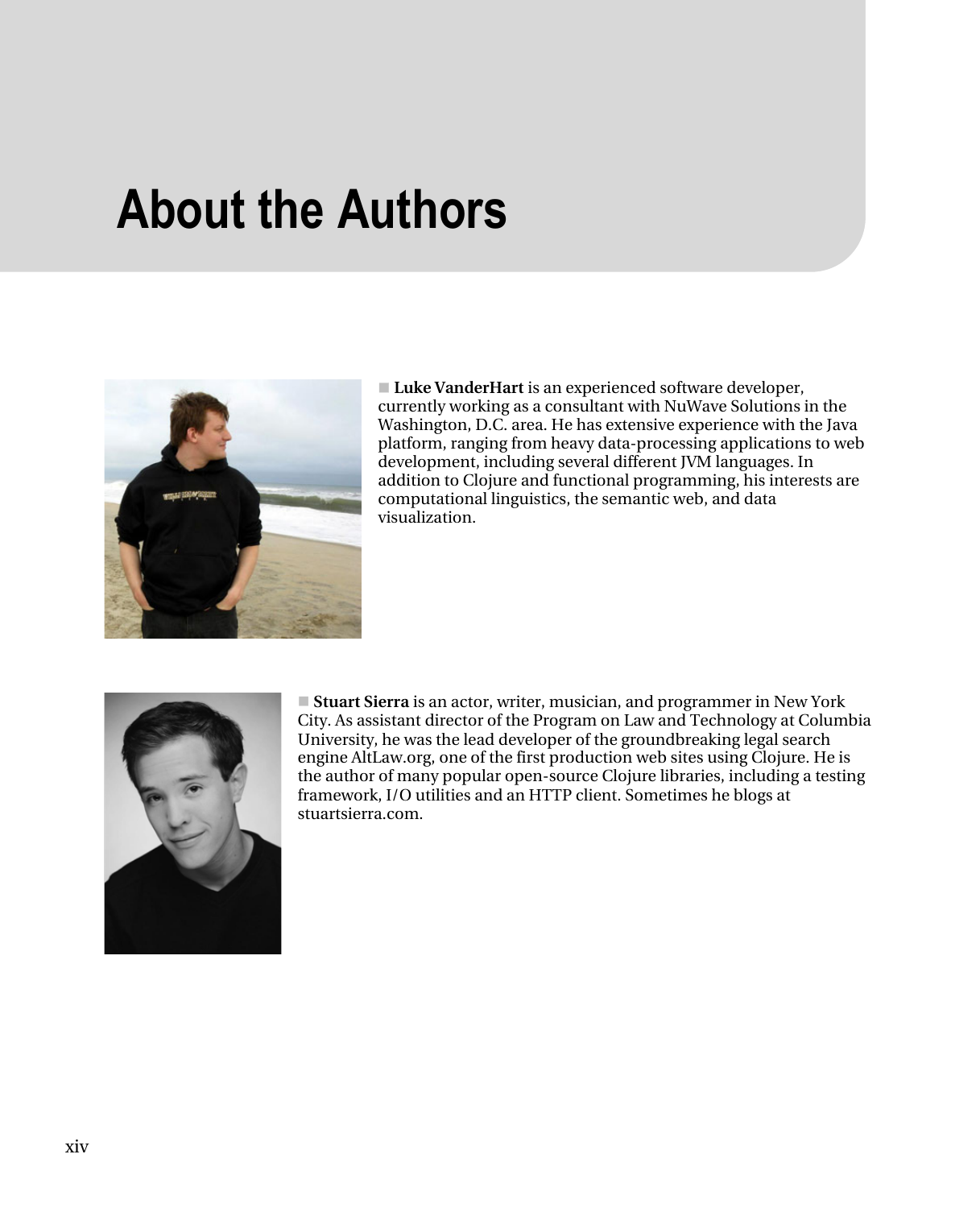#### **About the Authors**



- **Luke VanderHart** is an experienced software developer, currently working as a consultant with NuWave Solutions in the Washington, D.C. area. He has extensive experience with the Java platform, ranging from heavy data-processing applications to web development, including several different JVM languages. In addition to Clojure and functional programming, his interests are computational linguistics, the semantic web, and data visualization.



■ **Stuart Sierra** is an actor, writer, musician, and programmer in New York City. As assistant director of the Program on Law and Technology at Columbia University, he was the lead developer of the groundbreaking legal search engine AltLaw.org, one of the first production web sites using Clojure. He is the author of many popular open-source Clojure libraries, including a testing framework, I/O utilities and an HTTP client. Sometimes he blogs at stuartsierra.com.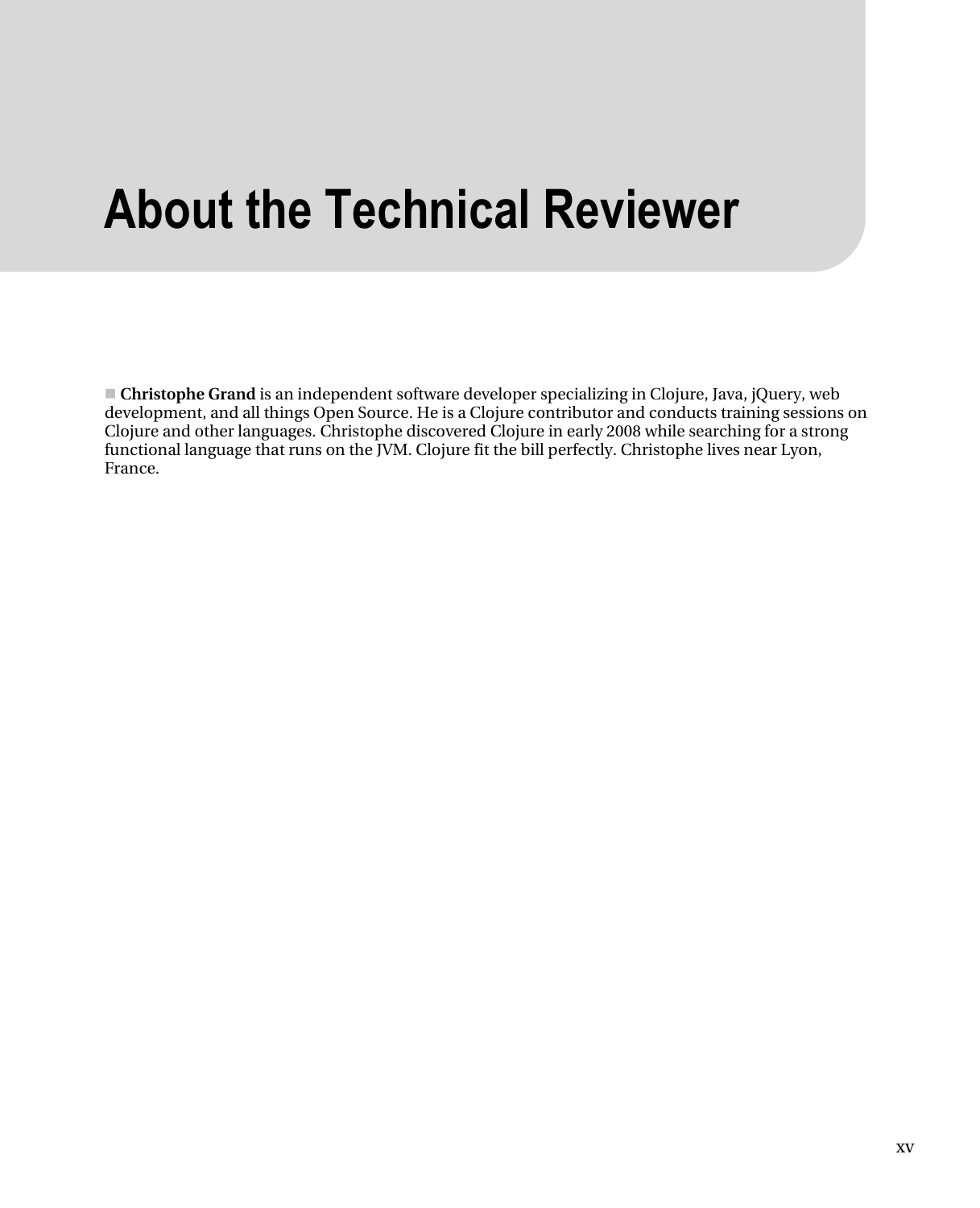## **About the Technical Reviewer**

- **Christophe Grand** is an independent software developer specializing in Clojure, Java, jQuery, web development, and all things Open Source. He is a Clojure contributor and conducts training sessions on Clojure and other languages. Christophe discovered Clojure in early 2008 while searching for a strong functional language that runs on the JVM. Clojure fit the bill perfectly. Christophe lives near Lyon, France.